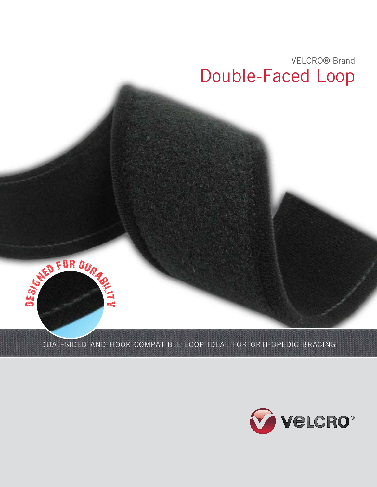

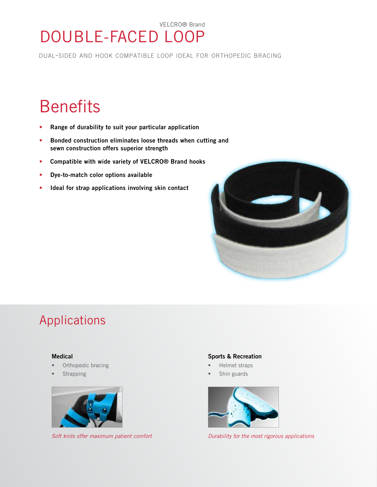### VELCRO® Brand DOUBLE-FACED LOOP

dual-sided and hook compatible loop ideal for orthopedic bracing

# **Benefits**

- Range of durability to suit your particular application
- • Bonded construction eliminates loose threads when cutting and sewn construction offers superior strength
- • Compatible with wide variety of VELCRO® Brand hooks
- • Dye-to-match color options available
- Ideal for strap applications involving skin contact



# Applications

#### Medical

- Orthopedic bracing
- **Strapping**



#### Sports & Recreation

- Helmet straps
- Shin guards



*Soft knits offer maximum patient comfort Durability for the most rigorous applications*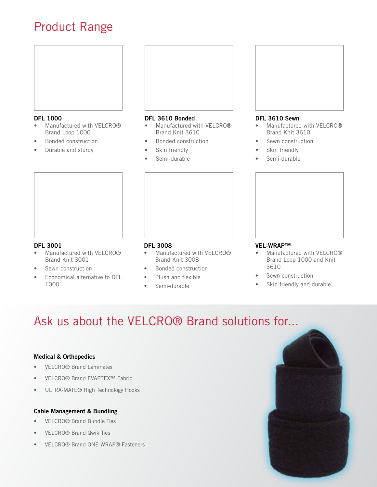### Product Range



#### DFL 1000

- Manufactured with VELCRO® Brand Loop 1000
- **Bonded construction**
- Durable and sturdy



#### DFL 3610 Bonded

- Manufactured with VELCRO® Brand Knit 3610
- **Bonded construction**
- Skin friendly
- Semi-durable



#### DFL 3610 Sewn

- Manufactured with VELCRO® Brand Knit 3610
- Sewn construction
- Skin friendly
- Semi-durable



#### DFL 3001

- • Manufactured with VELCRO® Brand Knit 3001
- Sewn construction
- Economical alternative to DFL 1000

#### DFL 3008

- • Manufactured with VELCRO® Brand Knit 3008
- **Bonded construction**
- Plush and flexible
- Semi-durable

#### VEL-WRAP™

- Manufactured with VELCRO® Brand Loop 1000 and Knit 3610
- Sewn construction
- Skin friendly and durable

## Ask us about the VELCRO® Brand solutions for...

#### Medical & Orthopedics

- VELCRO<sup>®</sup> Brand Laminates
- VELCRO® Brand EVAPTEX™ Fabric
- ULTRA-MATE® High Technology Hooks

#### Cable Management & Bundling

- • VELCRO® Brand Bundle Ties
- • VELCRO® Brand Qwik Ties
- VELCRO® Brand ONE-WRAP® Fasteners